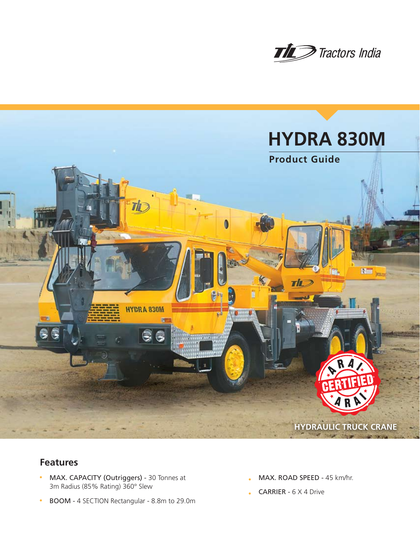



# **Features**

- MAX. CAPACITY (Outriggers) 30 Tonnes at 3m Radius (85% Rating) 360° Slew
- <sup>n</sup> BOOM 4 SECTION Rectangular 8.8m to 29.0m
- MAX. ROAD SPEED 45 km/hr.
- CARRIER 6 X 4 Drive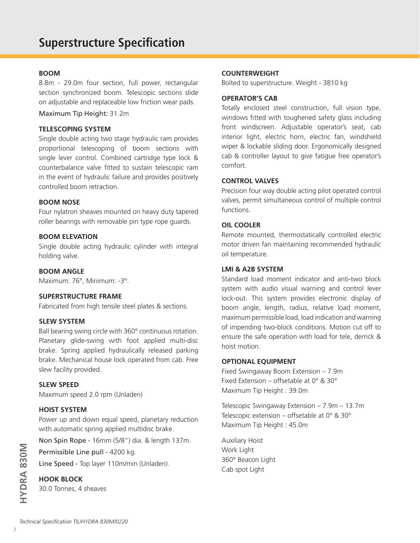#### **BOOM**

8.8m - 29.0m four section, full power, rectangular section synchronized boom. Telescopic sections slide on adjustable and replaceable low friction wear pads.

Maximum Tip Height: 31.2m

#### **TELESCOPING SYSTEM**

Single double acting two stage hydraulic ram provides proportional telescoping of boom sections with single lever control. Combined cartridge type lock & counterbalance valve fitted to sustain telescopic ram in the event of hydraulic failure and provides positively controlled boom retraction.

#### **BOOM NOSE**

Four nylatron sheaves mounted on heavy duty tapered roller bearings with removable pin type rope guards.

#### **BOOM ELEVATION**

Single double acting hydraulic cylinder with integral holding valve.

**BOOM ANGLE**

Maximum: 76°, Minimum: -3°.

## **SUPERSTRUCTURE FRAME**

Fabricated from high tensile steel plates & sections.

#### **SLEW SYSTEM**

Ball bearing swing circle with 360° continuous rotation. Planetary glide-swing with foot applied multi-disc brake. Spring applied hydraulically released parking brake. Mechanical house lock operated from cab. Free slew facility provided.

#### **SLEW SPEED**

Maximum speed 2.0 rpm (Unladen)

#### **HOIST SYSTEM**

Power up and down equal speed, planetary reduction with automatic spring applied multidisc brake.

Non Spin Rope - 16mm (5/8") dia. & length 137m.

Permissible Line pull - 4200 kg.

Line Speed - Top layer 110m/min (Unladen).

## **HOOK BLOCK**

30.0 Tonnes, 4 sheaves

#### **COUNTERWEIGHT**

Bolted to superstructure. Weight - 3810 kg

#### **OPERATOR'S CAB**

Totally enclosed steel construction, full vision type, windows fitted with toughened safety glass including front windscreen. Adjustable operator's seat, cab interior light, electric horn, electric fan, windshield wiper & lockable sliding door. Ergonomically designed cab & controller layout to give fatigue free operator's comfort.

#### **CONTROL VALVES**

Precision four way double acting pilot operated control valves, permit simultaneous control of multiple control functions.

#### **OIL COOLER**

Remote mounted, thermostatically controlled electric motor driven fan maintaining recommended hydraulic oil temperature.

#### **LMI & A2B SYSTEM**

Standard load moment indicator and anti-two block system with audio visual warning and control lever lock-out. This system provides electronic display of boom angle, length, radius, relative load moment, maximum permissible load, load indication and warning of impending two-block conditions. Motion cut off to ensure the safe operation with load for tele, derrick & hoist motion.

#### **OPTIONAL EQUIPMENT**

Fixed Swingaway Boom Extension – 7.9m Fixed Extension – offsetable at 0° & 30° Maximum Tip Height : 39.0m

Telescopic Swingaway Extension – 7.9m – 13.7m Telescopic extension – offsetable at 0° & 30° Maximum Tip Height : 45.0m

Auxiliary Hoist Work Light 360° Beacon Light Cab spot Light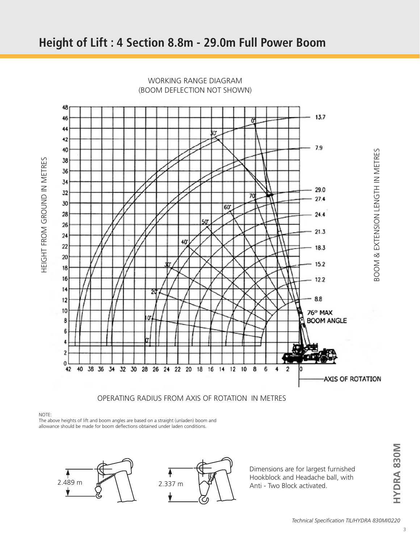

WORKING RANGE DIAGRAM (BOOM DEFLECTION NOT SHOWN)

## OPERATING RADIUS FROM AXIS OF ROTATION IN METRES

NOTE:

HEIGHT FROM GROUND IN METRES

HEIGHT FROM GROUND IN METRES

The above heights of lift and boom angles are based on a straight (unladen) boom and allowance should be made for boom deflections obtained under laden conditions.



Dimensions are for largest furnished Hookblock and Headache ball, with Anti - Two Block activated.

**HYDRA 830M**

HYDRA 830M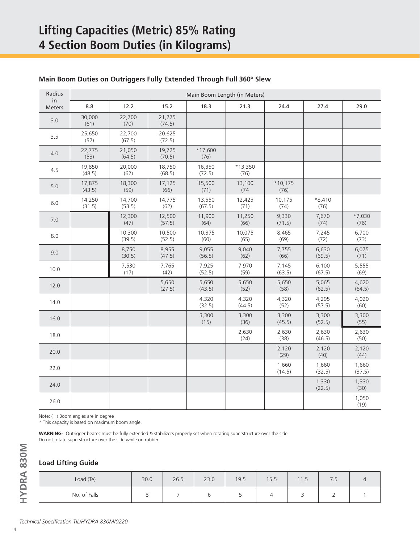| Radius<br>in | Main Boom Length (in Meters) |                  |                  |                   |                 |                   |                  |                  |
|--------------|------------------------------|------------------|------------------|-------------------|-----------------|-------------------|------------------|------------------|
| Meters       | 8.8                          | 12.2             | 15.2             | 18.3              | 21.3            | 24.4              | 27.4             | 29.0             |
| 3.0          | 30,000<br>(61)               | 22,700<br>(70)   | 21,275<br>(74.5) |                   |                 |                   |                  |                  |
| 3.5          | 25,650<br>(57)               | 22,700<br>(67.5) | 20.625<br>(72.5) |                   |                 |                   |                  |                  |
| 4.0          | 22,775<br>(53)               | 21,050<br>(64.5) | 19,725<br>(70.5) | $*17,600$<br>(76) |                 |                   |                  |                  |
| 4.5          | 19,850<br>(48.5)             | 20,000<br>(62)   | 18,750<br>(68.5) | 16,350<br>(72.5)  | *13,350<br>(76) |                   |                  |                  |
| 5.0          | 17,875<br>(43.5)             | 18,300<br>(59)   | 17,125<br>(66)   | 15,500<br>(71)    | 13,100<br>(74)  | $*10,175$<br>(76) |                  |                  |
| 6.0          | 14,250<br>(31.5)             | 14,700<br>(53.5) | 14,775<br>(62)   | 13,550<br>(67.5)  | 12,425<br>(71)  | 10,175<br>(74)    | $*8,410$<br>(76) |                  |
| 7.0          |                              | 12,300<br>(47)   | 12,500<br>(57.5) | 11,900<br>(64)    | 11,250<br>(66)  | 9,330<br>(71.5)   | 7,670<br>(74)    | $*7,030$<br>(76) |
| 8.0          |                              | 10,300<br>(39.5) | 10,500<br>(52.5) | 10,375<br>(60)    | 10,075<br>(65)  | 8,465<br>(69)     | 7,245<br>(72)    | 6,700<br>(73)    |
| 9.0          |                              | 8,750<br>(30.5)  | 8,955<br>(47.5)  | 9,055<br>(56.5)   | 9,040<br>(62)   | 7,755<br>(66)     | 6,630<br>(69.5)  | 6,075<br>(71)    |
| 10.0         |                              | 7,530<br>(17)    | 7,765<br>(42)    | 7,925<br>(52.5)   | 7,970<br>(59)   | 7,145<br>(63.5)   | 6,100<br>(67.5)  | 5,555<br>(69)    |
| 12.0         |                              |                  | 5,650<br>(27.5)  | 5,650<br>(43.5)   | 5,650<br>(52)   | 5,650<br>(58)     | 5,065<br>(62.5)  | 4,620<br>(64.5)  |
| 14.0         |                              |                  |                  | 4,320<br>(32.5)   | 4,320<br>(44.5) | 4,320<br>(52)     | 4,295<br>(57.5)  | 4,020<br>(60)    |
| 16.0         |                              |                  |                  | 3,300<br>(15)     | 3,300<br>(36)   | 3,300<br>(45.5)   | 3,300<br>(52.5)  | 3,300<br>(55)    |
| 18.0         |                              |                  |                  |                   | 2,630<br>(24)   | 2,630<br>(38)     | 2,630<br>(46.5)  | 2,630<br>(50)    |
| 20.0         |                              |                  |                  |                   |                 | 2,120<br>(29)     | 2,120<br>(40)    | 2,120<br>(44)    |
| 22.0         |                              |                  |                  |                   |                 | 1,660<br>(14.5)   | 1,660<br>(32.5)  | 1,660<br>(37.5)  |
| 24.0         |                              |                  |                  |                   |                 |                   | 1,330<br>(22.5)  | 1,330<br>(30)    |
| 26.0         |                              |                  |                  |                   |                 |                   |                  | 1,050<br>(19)    |

### **Main Boom Duties on Outriggers Fully Extended Through Full 360º Slew**

Note: ( ) Boom angles are in degree

\* This capacity is based on maximum boom angle.

**WARNING-** Outrigger beams must be fully extended & stabilizers properly set when rotating superstructure over the side. Do not rotate superstructure over the side while on rubber.

#### **Load Lifting Guide**

| Load (Te)    | 30.0 | 26.5 | 23.0   | 19.5 | 15.5 | 11.5 | $\overline{\phantom{0}}$<br>$\overline{\phantom{a}}$ |  |
|--------------|------|------|--------|------|------|------|------------------------------------------------------|--|
| No. of Falls | ັ    |      | ∽<br>◡ | ٮ    |      | ے    | ∸                                                    |  |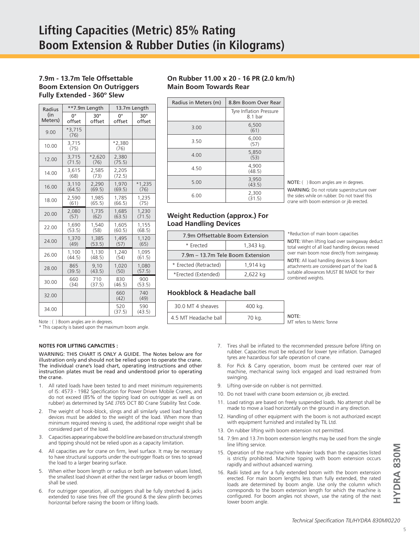#### **7.9m - 13.7m Tele Offsettable Boom Extension On Outriggers Fully Extended - 360º Slew**

| Radius  |                  | **7.9m Length    | 13.7m Length     |               |  |
|---------|------------------|------------------|------------------|---------------|--|
| (in     | 0°               | $30^\circ$       | 0°               | $30^\circ$    |  |
| Meters) | offset           | offset           | offset           | offset        |  |
| 9.00    | $*3.715$<br>(76) |                  |                  |               |  |
| 10.00   | 3,715<br>(75)    |                  | $*2,380$<br>(76) |               |  |
| 12.00   | 3,715<br>(71.5)  | $*2,620$<br>(76) | 2,380<br>(75.5)  |               |  |
| 14.00   | 3.615<br>(68)    | 2.585<br>(73)    | 2,205<br>(72.5)  |               |  |
| 16.00   | 3,110            | 2.290            | 1.970            | $*1,235$      |  |
|         | (64.5)           | (69.5)           | (69.5)           | (76)          |  |
| 18.00   | 2,590            | 1.985            | 1.785            | 1,235         |  |
|         | (61)             | (65.5)           | (66.5)           | (75)          |  |
| 20.00   | 2,080            | 1.735            | 1.685            | 1,230         |  |
|         | (57)             | (62)             | (63.5)           | (71.5)        |  |
| 22.00   | 1,690            | 1,540            | 1.605            | 1,155         |  |
|         | (53.5)           | (58)             | (60.5)           | (68.5)        |  |
| 24.00   | 1,370            | 1.385            | 1.495            | 1.120         |  |
|         | (49)             | (53.5)           | (57)             | (65)          |  |
| 26.00   | 1,100            | 1,130            | 1,240            | 1,095         |  |
|         | (44.5)           | (48.5)           | (54)             | (61.5)        |  |
| 28.00   | 865              | 9.10             | 1.020            | 1.080         |  |
|         | (39.5)           | (43.5)           | (50)             | (57.5)        |  |
| 30.00   | 660              | 710              | 830              | 900           |  |
|         | (34)             | (37.5)           | (46.5)           | (53.5)        |  |
| 32.00   |                  |                  | 660<br>(42)      | 740<br>(49)   |  |
| 34.00   |                  |                  | 520<br>(37.5)    | 590<br>(43.5) |  |

#### **On Rubber 11.00 x 20 - 16 PR (2.0 km/h) Main Boom Towards Rear**

| Radius in Meters (m) | 8.8m Boom Over Rear                |                                                                                                                                          |
|----------------------|------------------------------------|------------------------------------------------------------------------------------------------------------------------------------------|
|                      | Tyre Inflation Pressure<br>8.1 bar |                                                                                                                                          |
| 3.00                 | 6,500<br>(61)                      |                                                                                                                                          |
| 3.50                 | 6,000<br>(57)                      |                                                                                                                                          |
| 4.00                 | 5,850<br>(53)                      |                                                                                                                                          |
| 4.50                 | 4,900<br>(48.5)                    |                                                                                                                                          |
| 5.00                 | 3,950<br>(43.5)                    | NOTE: () Boom angles are in degrees.                                                                                                     |
| 6.00                 | 2,300<br>(31.5)                    | WARNING: Do not rotate superstructure over<br>the sides while on rubber. Do not travel this<br>crane with boom extension or iib erected. |
|                      |                                    |                                                                                                                                          |

#### **Weight Reduction (approx.) For Load Handling Devices**

| 7.9m Offsettable Boom Extension   |          |  |  |  |
|-----------------------------------|----------|--|--|--|
| * Frected<br>1,343 kg.            |          |  |  |  |
| 7.9m - 13.7m Tele Boom Extension  |          |  |  |  |
| * Erected (Retracted)<br>1,914 kg |          |  |  |  |
| *Erected (Extended)               | 2,622 kg |  |  |  |

#### \*Reduction of main boom capacities

NOTE: When lifting load over swingaway deduct total weight of all load handling devices reeved over main boom nose directly from swingaway.

NOTE: All load handling devices & boom attachments are considered part of the load & suitable allowances MUST BE MADE for their combined weights.

#### **Hookblock & Headache ball**

| 30.0 MT 4 sheaves    | 400 kg. |                                    |
|----------------------|---------|------------------------------------|
| 4.5 MT Headache ball | 70 kg.  | NOTE:<br>MT refers to Metric Tonne |

Note : ( ) Boom angles are in degrees.

\* This capacity is based upon the maximum boom angle.

#### **NOTES FOR LIFTING CAPACITIES :**

WARNING: THIS CHART IS ONLY A GUIDE. The Notes below are for illustration only and should not be relied upon to operate the crane. The individual crane's load chart, operating instructions and other instruction plates must be read and understood prior to operating the crane.

- 1. All rated loads have been tested to and meet minimum requirements of IS: 4573 - 1982 Specification for Power Driven Mobile Cranes, and do not exceed (85% of the tipping load on outrigger as well as on rubber) as determined by SAE J765 OCT 80 Crane Stability Test Code.
- 2. The weight of hook-block, slings and all similarly used load handling devices must be added to the weight of the load. When more than minimum required reeving is used, the additional rope weight shall be considered part of the load.
- 3. Capacities appearing above the bold line are based on structural strength and tipping should not be relied upon as a capacity limitation.
- 4. All capacities are for crane on firm, level surface. It may be necessary to have structural supports under the outrigger floats or tires to spread the load to a larger bearing surface.
- 5. When either boom length or radius or both are between values listed, the smallest load shown at either the next larger radius or boom length shall be used.
- 6. For outrigger operation, all outriggers shall be fully stretched & jacks extended to raise tires free off the ground & the slew plinth becomes horizontal before raising the boom or lifting loads.
- 7. Tires shall be inflated to the recommended pressure before lifting on rubber. Capacities must be reduced for lower tyre inflation. Damaged tyres are hazardous for safe operation of crane.
- 8. For Pick & Carry operation, boom must be centered over rear of machine, mechanical swing lock engaged and load restrained from swinging.
- 9. Lifting over-side on rubber is not permitted.
- 10. Do not travel with crane boom extension or, jib erected.
- 11. Load ratings are based on freely suspended loads. No attempt shall be made to move a load horizontally on the ground in any direction.
- 12. Handling of other equipment with the boom is not authorized except with equipment furnished and installed by TIL Ltd.
- 13. On rubber lifting with boom extension not permitted.
- 14. 7.9m and 13.7m boom extension lengths may be used from the single line lifting service.
- 15. Operation of the machine with heavier loads than the capacities listed is strictly prohibited. Machine tipping with boom extension occurs rapidly and without advanced warning.
- 16. Radii listed are for a fully extended boom with the boom extension erected. For main boom lengths less than fully extended, the rated loads are determined by boom angle. Use only the column which corresponds to the boom extension length for which the machine is configured. For boom angles not shown, use the rating of the next lower boom angle.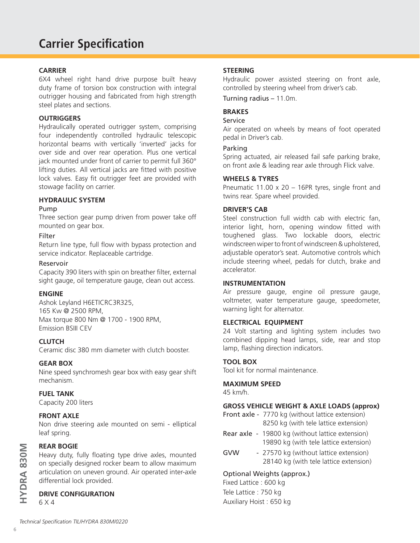# **Carrier Specification**

#### **CARRIER**

6X4 wheel right hand drive purpose built heavy duty frame of torsion box construction with integral outrigger housing and fabricated from high strength steel plates and sections.

#### **OUTRIGGERS**

Hydraulically operated outrigger system, comprising four independently controlled hydraulic telescopic horizontal beams with vertically 'inverted' jacks for over side and over rear operation. Plus one vertical jack mounted under front of carrier to permit full 360° lifting duties. All vertical jacks are fitted with positive lock valves. Easy fit outrigger feet are provided with stowage facility on carrier.

## **HYDRAULIC SYSTEM**

#### Pump

Three section gear pump driven from power take off mounted on gear box.

#### Filter

Return line type, full flow with bypass protection and service indicator. Replaceable cartridge.

#### Reservoir

Capacity 390 liters with spin on breather filter, external sight gauge, oil temperature gauge, clean out access.

#### **ENGINE**

Ashok Leyland H6ETICRC3R325, 165 Kw @ 2500 RPM, Max torque 800 Nm @ 1700 - 1900 RPM, Emission BSIII CEV

#### **CLUTCH**

Ceramic disc 380 mm diameter with clutch booster.

#### **GEAR BOX**

Nine speed synchromesh gear box with easy gear shift mechanism.

#### **FUEL TANK**

Capacity 200 liters

#### **FRONT AXLE**

Non drive steering axle mounted on semi - elliptical leaf spring.

## **REAR BOGIE**

Heavy duty, fully floating type drive axles, mounted on specially designed rocker beam to allow maximum articulation on uneven ground. Air operated inter-axle differential lock provided.

## **DRIVE CONFIGURATION**

6 X 4

### **STEERING**

Hydraulic power assisted steering on front axle, controlled by steering wheel from driver's cab.

Turning radius – 11.0m.

#### **BRAKES**

#### Service

Air operated on wheels by means of foot operated pedal in Driver's cab.

#### Parking

Spring actuated, air released fail safe parking brake, on front axle & leading rear axle through Flick valve.

#### **WHEELS & TYRES**

Pneumatic 11.00 x 20 – 16PR tyres, single front and twins rear. Spare wheel provided.

#### **DRIVER'S CAB**

Steel construction full width cab with electric fan, interior light, horn, opening window fitted with toughened glass. Two lockable doors, electric windscreen wiper to front of windscreen & upholstered, adjustable operator's seat. Automotive controls which include steering wheel, pedals for clutch, brake and accelerator.

#### **INSTRUMENTATION**

Air pressure gauge, engine oil pressure gauge, voltmeter, water temperature gauge, speedometer, warning light for alternator.

#### **ELECTRICAL EQUIPMENT**

24 Volt starting and lighting system includes two combined dipping head lamps, side, rear and stop lamp, flashing direction indicators.

### **TOOL BOX**

Tool kit for normal maintenance.

# **MAXIMUM SPEED**

45 km/h.

## **GROSS VEHICLE WEIGHT & AXLE LOADS (approx)**

Front axle - 7770 kg (without lattice extension) 8250 kg (with tele lattice extension)

- Rear axle 19800 kg (without lattice extension) 19890 kg (with tele lattice extension)
- GVW 27570 kg (without lattice extension) 28140 kg (with tele lattice extension)

## Optional Weights (approx.)

Fixed Lattice : 600 kg Tele Lattice : 750 kg Auxiliary Hoist : 650 kg

**HYDRA 830M**

HYDRA 830M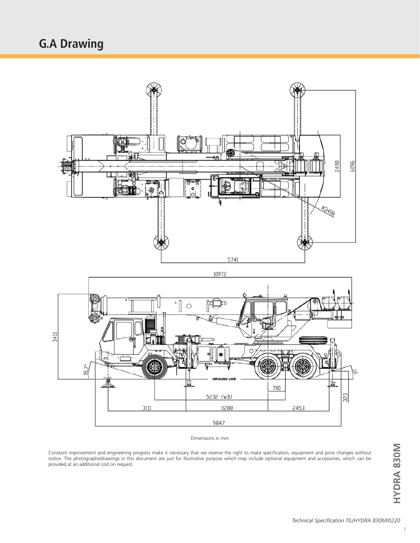# **G.A Drawing**



Dimensions in mm

Constant improvement and engineering progress make it necessary that we reserve the right to make specification, equipment and price changes without notice. The photographs/drawings in this document are just for Illustrative purpose which may include optional equipment and accessories, which can be provided at an additional cost on request.